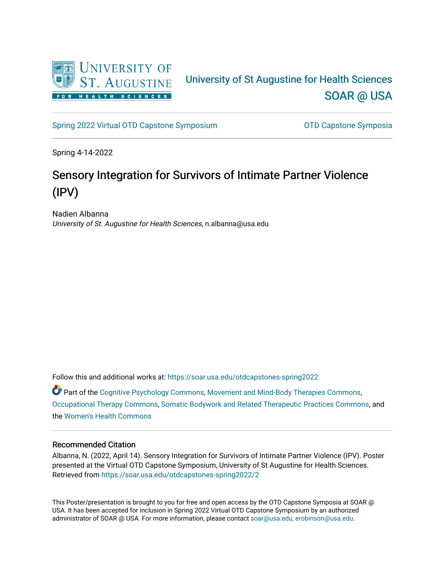

### University of St Augustine for Health Sciences [SOAR @ USA](https://soar.usa.edu/)

[Spring 2022 Virtual OTD Capstone Symposium](https://soar.usa.edu/otdcapstones-spring2022) **Capstone Symposia** OTD Capstone Symposia

Spring 4-14-2022

### Sensory Integration for Survivors of Intimate Partner Violence (IPV)

Nadien Albanna University of St. Augustine for Health Sciences, n.albanna@usa.edu

Follow this and additional works at: [https://soar.usa.edu/otdcapstones-spring2022](https://soar.usa.edu/otdcapstones-spring2022?utm_source=soar.usa.edu%2Fotdcapstones-spring2022%2F2&utm_medium=PDF&utm_campaign=PDFCoverPages)

 $\bullet$  Part of the [Cognitive Psychology Commons,](http://network.bepress.com/hgg/discipline/408?utm_source=soar.usa.edu%2Fotdcapstones-spring2022%2F2&utm_medium=PDF&utm_campaign=PDFCoverPages) [Movement and Mind-Body Therapies Commons,](http://network.bepress.com/hgg/discipline/751?utm_source=soar.usa.edu%2Fotdcapstones-spring2022%2F2&utm_medium=PDF&utm_campaign=PDFCoverPages) [Occupational Therapy Commons](http://network.bepress.com/hgg/discipline/752?utm_source=soar.usa.edu%2Fotdcapstones-spring2022%2F2&utm_medium=PDF&utm_campaign=PDFCoverPages), [Somatic Bodywork and Related Therapeutic Practices Commons](http://network.bepress.com/hgg/discipline/750?utm_source=soar.usa.edu%2Fotdcapstones-spring2022%2F2&utm_medium=PDF&utm_campaign=PDFCoverPages), and the [Women's Health Commons](http://network.bepress.com/hgg/discipline/1241?utm_source=soar.usa.edu%2Fotdcapstones-spring2022%2F2&utm_medium=PDF&utm_campaign=PDFCoverPages) 

### Recommended Citation

Albanna, N. (2022, April 14). Sensory Integration for Survivors of Intimate Partner Violence (IPV). Poster presented at the Virtual OTD Capstone Symposium, University of St Augustine for Health Sciences. Retrieved from [https://soar.usa.edu/otdcapstones-spring2022/2](https://soar.usa.edu/otdcapstones-spring2022/2?utm_source=soar.usa.edu%2Fotdcapstones-spring2022%2F2&utm_medium=PDF&utm_campaign=PDFCoverPages) 

This Poster/presentation is brought to you for free and open access by the OTD Capstone Symposia at SOAR @ USA. It has been accepted for inclusion in Spring 2022 Virtual OTD Capstone Symposium by an authorized administrator of SOAR @ USA. For more information, please contact [soar@usa.edu, erobinson@usa.edu](mailto:soar@usa.edu,%20erobinson@usa.edu).